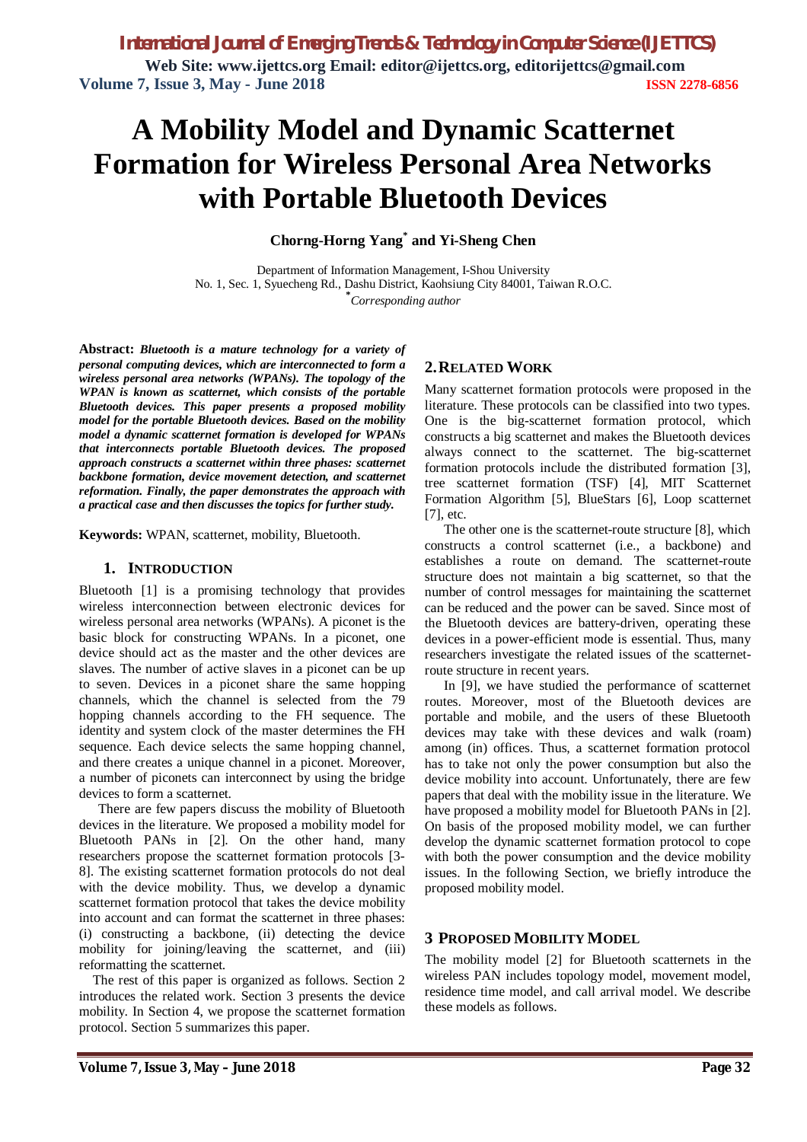**Web Site: www.ijettcs.org Email: editor@ijettcs.org, [editorijettcs@gmail.com](mailto:editorijettcs@gmail.com)  Volume 7, Issue 3, May - June 2018 ISSN 2278-6856**

# **A Mobility Model and Dynamic Scatternet Formation for Wireless Personal Area Networks with Portable Bluetooth Devices**

**Chorng-Horng Yang\* and Yi-Sheng Chen**

Department of Information Management, I-Shou University No. 1, Sec. 1, Syuecheng Rd., Dashu District, Kaohsiung City 84001, Taiwan R.O.C. **\*** *Corresponding author*

**Abstract:** *Bluetooth is a mature technology for a variety of personal computing devices, which are interconnected to form a wireless personal area networks (WPANs). The topology of the WPAN is known as scatternet, which consists of the portable Bluetooth devices. This paper presents a proposed mobility model for the portable Bluetooth devices. Based on the mobility model a dynamic scatternet formation is developed for WPANs that interconnects portable Bluetooth devices. The proposed approach constructs a scatternet within three phases: scatternet backbone formation, device movement detection, and scatternet reformation. Finally, the paper demonstrates the approach with a practical case and then discusses the topics for further study.*

**Keywords:** WPAN, scatternet, mobility, Bluetooth.

#### **1. INTRODUCTION**

Bluetooth [1] is a promising technology that provides wireless interconnection between electronic devices for wireless personal area networks (WPANs). A piconet is the basic block for constructing WPANs. In a piconet, one device should act as the master and the other devices are slaves. The number of active slaves in a piconet can be up to seven. Devices in a piconet share the same hopping channels, which the channel is selected from the 79 hopping channels according to the FH sequence. The identity and system clock of the master determines the FH sequence. Each device selects the same hopping channel, and there creates a unique channel in a piconet. Moreover, a number of piconets can interconnect by using the bridge devices to form a scatternet.

There are few papers discuss the mobility of Bluetooth devices in the literature. We proposed a mobility model for Bluetooth PANs in [2]. On the other hand, many researchers propose the scatternet formation protocols [3- 8]. The existing scatternet formation protocols do not deal with the device mobility. Thus, we develop a dynamic scatternet formation protocol that takes the device mobility into account and can format the scatternet in three phases: (i) constructing a backbone, (ii) detecting the device mobility for joining/leaving the scatternet, and (iii) reformatting the scatternet.

The rest of this paper is organized as follows. Section 2 introduces the related work. Section 3 presents the device mobility. In Section 4, we propose the scatternet formation protocol. Section 5 summarizes this paper.

#### **2.RELATED WORK**

Many scatternet formation protocols were proposed in the literature. These protocols can be classified into two types. One is the big-scatternet formation protocol, which constructs a big scatternet and makes the Bluetooth devices always connect to the scatternet. The big-scatternet formation protocols include the distributed formation [3], tree scatternet formation (TSF) [4], MIT Scatternet Formation Algorithm [5], BlueStars [6], Loop scatternet [7], etc.

The other one is the scatternet-route structure [8], which constructs a control scatternet (i.e., a backbone) and establishes a route on demand. The scatternet-route structure does not maintain a big scatternet, so that the number of control messages for maintaining the scatternet can be reduced and the power can be saved. Since most of the Bluetooth devices are battery-driven, operating these devices in a power-efficient mode is essential. Thus, many researchers investigate the related issues of the scatternetroute structure in recent years.

In [9], we have studied the performance of scatternet routes. Moreover, most of the Bluetooth devices are portable and mobile, and the users of these Bluetooth devices may take with these devices and walk (roam) among (in) offices. Thus, a scatternet formation protocol has to take not only the power consumption but also the device mobility into account. Unfortunately, there are few papers that deal with the mobility issue in the literature. We have proposed a mobility model for Bluetooth PANs in [2]. On basis of the proposed mobility model, we can further develop the dynamic scatternet formation protocol to cope with both the power consumption and the device mobility issues. In the following Section, we briefly introduce the proposed mobility model.

#### **3 PROPOSED MOBILITY MODEL**

The mobility model [2] for Bluetooth scatternets in the wireless PAN includes topology model, movement model, residence time model, and call arrival model. We describe these models as follows.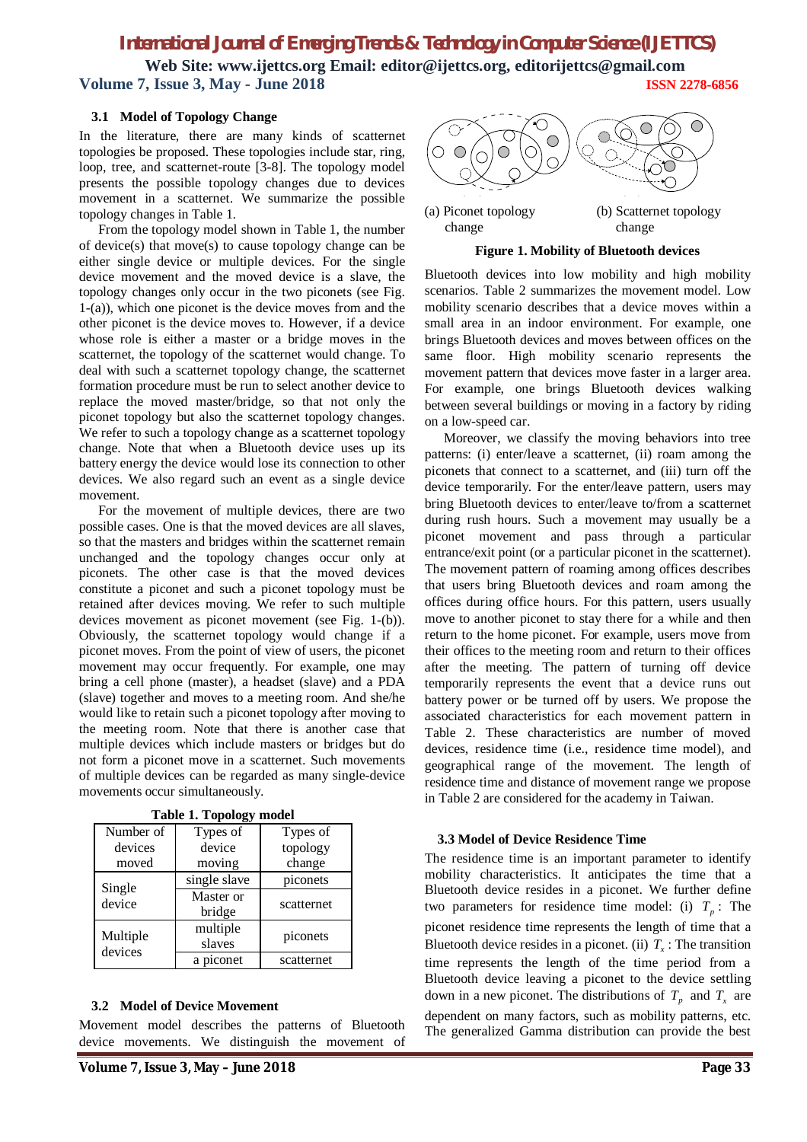# *International Journal of Emerging Trends & Technology in Computer Science (IJETTCS)*

**Web Site: www.ijettcs.org Email: editor@ijettcs.org, [editorijettcs@gmail.com](mailto:editorijettcs@gmail.com)  Volume 7, Issue 3, May - June 2018 ISSN 2278-6856**

#### **3.1 Model of Topology Change**

In the literature, there are many kinds of scatternet topologies be proposed. These topologies include star, ring, loop, tree, and scatternet-route [3-8]. The topology model presents the possible topology changes due to devices movement in a scatternet. We summarize the possible topology changes in Table 1.

From the topology model shown in Table 1, the number of device(s) that move(s) to cause topology change can be either single device or multiple devices. For the single device movement and the moved device is a slave, the topology changes only occur in the two piconets (see Fig. 1-(a)), which one piconet is the device moves from and the other piconet is the device moves to. However, if a device whose role is either a master or a bridge moves in the scatternet, the topology of the scatternet would change. To deal with such a scatternet topology change, the scatternet formation procedure must be run to select another device to replace the moved master/bridge, so that not only the piconet topology but also the scatternet topology changes. We refer to such a topology change as a scatternet topology change. Note that when a Bluetooth device uses up its battery energy the device would lose its connection to other devices. We also regard such an event as a single device movement.

For the movement of multiple devices, there are two possible cases. One is that the moved devices are all slaves, so that the masters and bridges within the scatternet remain unchanged and the topology changes occur only at piconets. The other case is that the moved devices constitute a piconet and such a piconet topology must be retained after devices moving. We refer to such multiple devices movement as piconet movement (see Fig. 1-(b)). Obviously, the scatternet topology would change if a piconet moves. From the point of view of users, the piconet movement may occur frequently. For example, one may bring a cell phone (master), a headset (slave) and a PDA (slave) together and moves to a meeting room. And she/he would like to retain such a piconet topology after moving to the meeting room. Note that there is another case that multiple devices which include masters or bridges but do not form a piconet move in a scatternet. Such movements of multiple devices can be regarded as many single-device movements occur simultaneously.

| Number of           | Types of            | Types of   |  |  |
|---------------------|---------------------|------------|--|--|
| devices             | device              | topology   |  |  |
| moved               | moving              | change     |  |  |
|                     | single slave        | piconets   |  |  |
| Single<br>device    | Master or<br>bridge | scatternet |  |  |
| Multiple<br>devices | multiple<br>slaves  | piconets   |  |  |
|                     | a piconet           | scatternet |  |  |

**Table 1. Topology model**

#### **3.2 Model of Device Movement**

Movement model describes the patterns of Bluetooth device movements. We distinguish the movement of



(a) Piconet topology (b) Scatternet topology change change

#### **Figure 1. Mobility of Bluetooth devices**

Bluetooth devices into low mobility and high mobility scenarios. Table 2 summarizes the movement model. Low mobility scenario describes that a device moves within a small area in an indoor environment. For example, one brings Bluetooth devices and moves between offices on the same floor. High mobility scenario represents the movement pattern that devices move faster in a larger area. For example, one brings Bluetooth devices walking between several buildings or moving in a factory by riding on a low-speed car.

Moreover, we classify the moving behaviors into tree patterns: (i) enter/leave a scatternet, (ii) roam among the piconets that connect to a scatternet, and (iii) turn off the device temporarily. For the enter/leave pattern, users may bring Bluetooth devices to enter/leave to/from a scatternet during rush hours. Such a movement may usually be a piconet movement and pass through a particular entrance/exit point (or a particular piconet in the scatternet). The movement pattern of roaming among offices describes that users bring Bluetooth devices and roam among the offices during office hours. For this pattern, users usually move to another piconet to stay there for a while and then return to the home piconet. For example, users move from their offices to the meeting room and return to their offices after the meeting. The pattern of turning off device temporarily represents the event that a device runs out battery power or be turned off by users. We propose the associated characteristics for each movement pattern in Table 2. These characteristics are number of moved devices, residence time (i.e., residence time model), and geographical range of the movement. The length of residence time and distance of movement range we propose in Table 2 are considered for the academy in Taiwan.

#### **3.3 Model of Device Residence Time**

The residence time is an important parameter to identify mobility characteristics. It anticipates the time that a Bluetooth device resides in a piconet. We further define two parameters for residence time model: (i)  $T_p$ : The piconet residence time represents the length of time that a Bluetooth device resides in a piconet. (ii)  $T<sub>x</sub>$ : The transition time represents the length of the time period from a Bluetooth device leaving a piconet to the device settling down in a new piconet. The distributions of  $T_p$  and  $T_x$  are dependent on many factors, such as mobility patterns, etc. The generalized Gamma distribution can provide the best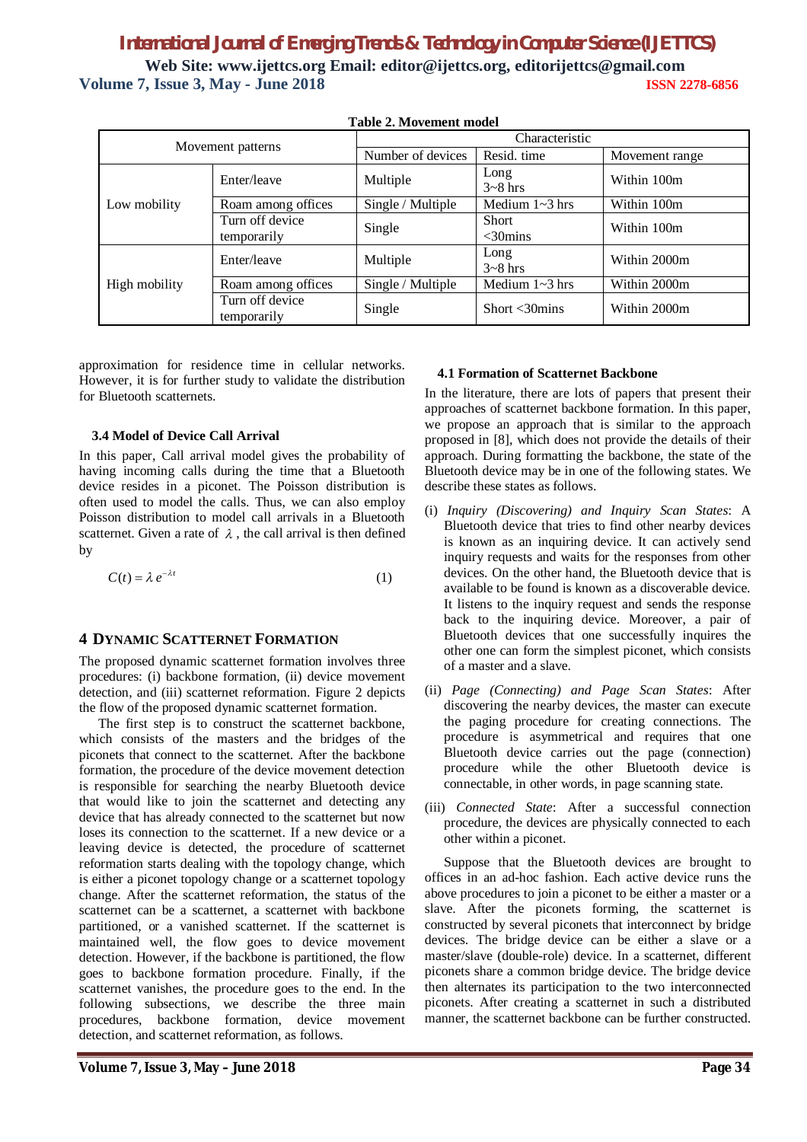# *International Journal of Emerging Trends & Technology in Computer Science (IJETTCS)* **Web Site: www.ijettcs.org Email: editor@ijettcs.org, [editorijettcs@gmail.com](mailto:editorijettcs@gmail.com)  Volume 7, Issue 3, May - June 2018 ISSN 2278-6856**

| Movement patterns |                                | Characteristic    |                               |                |
|-------------------|--------------------------------|-------------------|-------------------------------|----------------|
|                   |                                | Number of devices | Resid. time                   | Movement range |
| Low mobility      | Enter/leave                    | Multiple          | Long<br>$3-8$ hrs             | Within 100m    |
|                   | Roam among offices             | Single / Multiple | Medium $1 \sim 3$ hrs         | Within 100m    |
|                   | Turn off device<br>temporarily | Single            | <b>Short</b><br>$<$ 30 $mins$ | Within 100m    |
| High mobility     | Enter/leave                    | Multiple          | Long<br>$3-8$ hrs             | Within 2000m   |
|                   | Roam among offices             | Single / Multiple | Medium $1 \sim 3$ hrs         | Within 2000m   |
|                   | Turn off device<br>temporarily | Single            | Short $<$ 30 $\rm{mins}$      | Within 2000m   |

#### **Table 2. Movement model**

approximation for residence time in cellular networks. However, it is for further study to validate the distribution for Bluetooth scatternets.

#### **3.4 Model of Device Call Arrival**

In this paper, Call arrival model gives the probability of having incoming calls during the time that a Bluetooth device resides in a piconet. The Poisson distribution is often used to model the calls. Thus, we can also employ Poisson distribution to model call arrivals in a Bluetooth scatternet. Given a rate of  $\lambda$ , the call arrival is then defined by

$$
C(t) = \lambda e^{-\lambda t} \tag{1}
$$

#### **4 DYNAMIC SCATTERNET FORMATION**

The proposed dynamic scatternet formation involves three procedures: (i) backbone formation, (ii) device movement detection, and (iii) scatternet reformation. Figure 2 depicts the flow of the proposed dynamic scatternet formation.

The first step is to construct the scatternet backbone, which consists of the masters and the bridges of the piconets that connect to the scatternet. After the backbone formation, the procedure of the device movement detection is responsible for searching the nearby Bluetooth device that would like to join the scatternet and detecting any device that has already connected to the scatternet but now loses its connection to the scatternet. If a new device or a leaving device is detected, the procedure of scatternet reformation starts dealing with the topology change, which is either a piconet topology change or a scatternet topology change. After the scatternet reformation, the status of the scatternet can be a scatternet, a scatternet with backbone partitioned, or a vanished scatternet. If the scatternet is maintained well, the flow goes to device movement detection. However, if the backbone is partitioned, the flow goes to backbone formation procedure. Finally, if the scatternet vanishes, the procedure goes to the end. In the following subsections, we describe the three main procedures, backbone formation, device movement detection, and scatternet reformation, as follows.

#### **4.1 Formation of Scatternet Backbone**

In the literature, there are lots of papers that present their approaches of scatternet backbone formation. In this paper, we propose an approach that is similar to the approach proposed in [8], which does not provide the details of their approach. During formatting the backbone, the state of the Bluetooth device may be in one of the following states. We describe these states as follows.

- (i) *Inquiry (Discovering) and Inquiry Scan States*: A Bluetooth device that tries to find other nearby devices is known as an inquiring device. It can actively send inquiry requests and waits for the responses from other devices. On the other hand, the Bluetooth device that is available to be found is known as a discoverable device. It listens to the inquiry request and sends the response back to the inquiring device. Moreover, a pair of Bluetooth devices that one successfully inquires the other one can form the simplest piconet, which consists of a master and a slave.
- (ii) *Page (Connecting) and Page Scan States*: After discovering the nearby devices, the master can execute the paging procedure for creating connections. The procedure is asymmetrical and requires that one Bluetooth device carries out the page (connection) procedure while the other Bluetooth device is connectable, in other words, in page scanning state.
- (iii) *Connected State*: After a successful connection procedure, the devices are physically connected to each other within a piconet.

Suppose that the Bluetooth devices are brought to offices in an ad-hoc fashion. Each active device runs the above procedures to join a piconet to be either a master or a slave. After the piconets forming, the scatternet is constructed by several piconets that interconnect by bridge devices. The bridge device can be either a slave or a master/slave (double-role) device. In a scatternet, different piconets share a common bridge device. The bridge device then alternates its participation to the two interconnected piconets. After creating a scatternet in such a distributed manner, the scatternet backbone can be further constructed.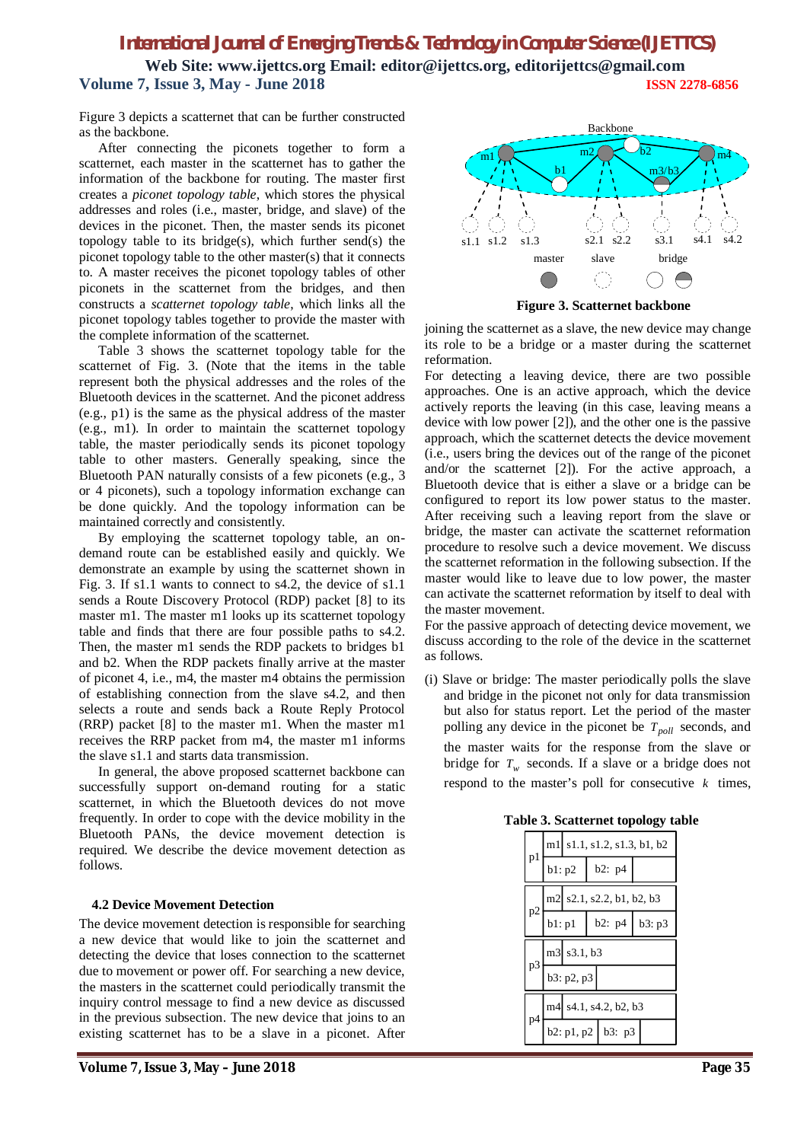# *International Journal of Emerging Trends & Technology in Computer Science (IJETTCS)*

**Web Site: www.ijettcs.org Email: editor@ijettcs.org, [editorijettcs@gmail.com](mailto:editorijettcs@gmail.com)  Volume 7, Issue 3, May - June 2018 ISSN 2278-6856**

Figure 3 depicts a scatternet that can be further constructed as the backbone.

After connecting the piconets together to form a scatternet, each master in the scatternet has to gather the information of the backbone for routing. The master first creates a *piconet topology table*, which stores the physical addresses and roles (i.e., master, bridge, and slave) of the devices in the piconet. Then, the master sends its piconet topology table to its bridge(s), which further send(s) the piconet topology table to the other master(s) that it connects to. A master receives the piconet topology tables of other piconets in the scatternet from the bridges, and then constructs a *scatternet topology table*, which links all the piconet topology tables together to provide the master with the complete information of the scatternet.

Table 3 shows the scatternet topology table for the scatternet of Fig. 3. (Note that the items in the table represent both the physical addresses and the roles of the Bluetooth devices in the scatternet. And the piconet address (e.g., p1) is the same as the physical address of the master (e.g., m1). In order to maintain the scatternet topology table, the master periodically sends its piconet topology table to other masters. Generally speaking, since the Bluetooth PAN naturally consists of a few piconets (e.g., 3 or 4 piconets), such a topology information exchange can be done quickly. And the topology information can be maintained correctly and consistently.

By employing the scatternet topology table, an ondemand route can be established easily and quickly. We demonstrate an example by using the scatternet shown in Fig. 3. If s1.1 wants to connect to s4.2, the device of s1.1 sends a Route Discovery Protocol (RDP) packet [8] to its master m1. The master m1 looks up its scatternet topology table and finds that there are four possible paths to s4.2. Then, the master m1 sends the RDP packets to bridges b1 and b2. When the RDP packets finally arrive at the master of piconet 4, i.e., m4, the master m4 obtains the permission of establishing connection from the slave s4.2, and then selects a route and sends back a Route Reply Protocol (RRP) packet [8] to the master m1. When the master m1 receives the RRP packet from m4, the master m1 informs the slave s1.1 and starts data transmission.

In general, the above proposed scatternet backbone can successfully support on-demand routing for a static scatternet, in which the Bluetooth devices do not move frequently. In order to cope with the device mobility in the Bluetooth PANs, the device movement detection is required. We describe the device movement detection as follows.

#### **4.2 Device Movement Detection**

The device movement detection is responsible for searching a new device that would like to join the scatternet and detecting the device that loses connection to the scatternet due to movement or power off. For searching a new device, the masters in the scatternet could periodically transmit the inquiry control message to find a new device as discussed in the previous subsection. The new device that joins to an existing scatternet has to be a slave in a piconet. After



**Figure 3. Scatternet backbone**

joining the scatternet as a slave, the new device may change its role to be a bridge or a master during the scatternet reformation.

For detecting a leaving device, there are two possible approaches. One is an active approach, which the device actively reports the leaving (in this case, leaving means a device with low power [2]), and the other one is the passive approach, which the scatternet detects the device movement (i.e., users bring the devices out of the range of the piconet and/or the scatternet [2]). For the active approach, a Bluetooth device that is either a slave or a bridge can be configured to report its low power status to the master. After receiving such a leaving report from the slave or bridge, the master can activate the scatternet reformation procedure to resolve such a device movement. We discuss the scatternet reformation in the following subsection. If the master would like to leave due to low power, the master can activate the scatternet reformation by itself to deal with the master movement.

For the passive approach of detecting device movement, we discuss according to the role of the device in the scatternet as follows.

(i) Slave or bridge: The master periodically polls the slave and bridge in the piconet not only for data transmission but also for status report. Let the period of the master polling any device in the piconet be *Tpoll* seconds, and

the master waits for the response from the slave or bridge for  $T_w$  seconds. If a slave or a bridge does not respond to the master's poll for consecutive  $k$  times,

|  | Table 3. Scatternet topology table |  |  |
|--|------------------------------------|--|--|
|--|------------------------------------|--|--|

| p1 |                           | m1 s1.1, s1.2, s1.3, b1, b2 |  |                          |        |
|----|---------------------------|-----------------------------|--|--------------------------|--------|
|    | b1: p2                    |                             |  | b2: p4                   |        |
|    | m2 s2.1, s2.2, b1, b2, b3 |                             |  |                          |        |
| p2 |                           | b1: p1                      |  | b2: p4                   | b3: p3 |
|    | m3 s3.1, b3               |                             |  |                          |        |
| p3 |                           | b3: p2, p3                  |  |                          |        |
| p4 | m4 s4.1, s4.2, b2, b3     |                             |  |                          |        |
|    |                           |                             |  | $b2: p1, p2 \mid b3: p3$ |        |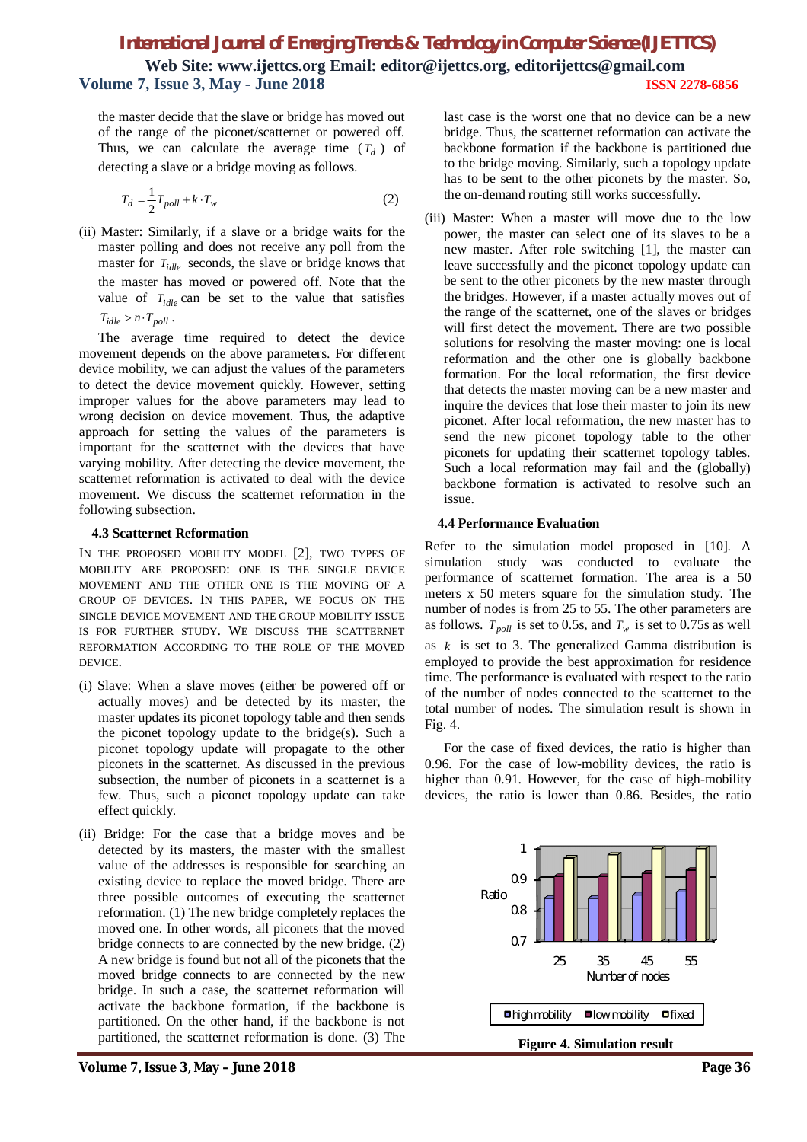# *International Journal of Emerging Trends & Technology in Computer Science (IJETTCS)* **Web Site: www.ijettcs.org Email: editor@ijettcs.org, [editorijettcs@gmail.com](mailto:editorijettcs@gmail.com)  Volume 7, Issue 3, May - June 2018 ISSN 2278-6856**

the master decide that the slave or bridge has moved out of the range of the piconet/scatternet or powered off. Thus, we can calculate the average time  $(T_d)$  of detecting a slave or a bridge moving as follows.

$$
T_d = \frac{1}{2} T_{poll} + k \cdot T_w \tag{2}
$$

(ii) Master: Similarly, if a slave or a bridge waits for the master polling and does not receive any poll from the master for *Tidle* seconds, the slave or bridge knows that the master has moved or powered off. Note that the value of  $T_{idle}$  can be set to the value that satisfies  $T_{idle} > n \cdot T_{poll}$ .

The average time required to detect the device movement depends on the above parameters. For different device mobility, we can adjust the values of the parameters to detect the device movement quickly. However, setting improper values for the above parameters may lead to wrong decision on device movement. Thus, the adaptive approach for setting the values of the parameters is important for the scatternet with the devices that have varying mobility. After detecting the device movement, the scatternet reformation is activated to deal with the device movement. We discuss the scatternet reformation in the following subsection.

#### **4.3 Scatternet Reformation**

IN THE PROPOSED MOBILITY MODEL [2], TWO TYPES OF MOBILITY ARE PROPOSED: ONE IS THE SINGLE DEVICE MOVEMENT AND THE OTHER ONE IS THE MOVING OF A GROUP OF DEVICES. IN THIS PAPER, WE FOCUS ON THE SINGLE DEVICE MOVEMENT AND THE GROUP MOBILITY ISSUE IS FOR FURTHER STUDY. WE DISCUSS THE SCATTERNET REFORMATION ACCORDING TO THE ROLE OF THE MOVED DEVICE.

- (i) Slave: When a slave moves (either be powered off or actually moves) and be detected by its master, the master updates its piconet topology table and then sends the piconet topology update to the bridge(s). Such a piconet topology update will propagate to the other piconets in the scatternet. As discussed in the previous subsection, the number of piconets in a scatternet is a few. Thus, such a piconet topology update can take effect quickly.
- (ii) Bridge: For the case that a bridge moves and be detected by its masters, the master with the smallest value of the addresses is responsible for searching an existing device to replace the moved bridge. There are three possible outcomes of executing the scatternet reformation. (1) The new bridge completely replaces the moved one. In other words, all piconets that the moved bridge connects to are connected by the new bridge. (2) A new bridge is found but not all of the piconets that the moved bridge connects to are connected by the new bridge. In such a case, the scatternet reformation will activate the backbone formation, if the backbone is partitioned. On the other hand, if the backbone is not partitioned, the scatternet reformation is done. (3) The

**Volume 7, Issue 3, May – June 2018 Page 36**

last case is the worst one that no device can be a new bridge. Thus, the scatternet reformation can activate the backbone formation if the backbone is partitioned due to the bridge moving. Similarly, such a topology update has to be sent to the other piconets by the master. So, the on-demand routing still works successfully.

(iii) Master: When a master will move due to the low power, the master can select one of its slaves to be a new master. After role switching [1], the master can leave successfully and the piconet topology update can be sent to the other piconets by the new master through the bridges. However, if a master actually moves out of the range of the scatternet, one of the slaves or bridges will first detect the movement. There are two possible solutions for resolving the master moving: one is local reformation and the other one is globally backbone formation. For the local reformation, the first device that detects the master moving can be a new master and inquire the devices that lose their master to join its new piconet. After local reformation, the new master has to send the new piconet topology table to the other piconets for updating their scatternet topology tables. Such a local reformation may fail and the (globally) backbone formation is activated to resolve such an issue.

#### **4.4 Performance Evaluation**

Refer to the simulation model proposed in [10]. A simulation study was conducted to evaluate the performance of scatternet formation. The area is a 50 meters x 50 meters square for the simulation study. The number of nodes is from 25 to 55. The other parameters are as follows.  $T_{\text{poll}}$  is set to 0.5s, and  $T_w$  is set to 0.75s as well as *k* is set to 3. The generalized Gamma distribution is employed to provide the best approximation for residence time. The performance is evaluated with respect to the ratio of the number of nodes connected to the scatternet to the total number of nodes. The simulation result is shown in Fig. 4.

For the case of fixed devices, the ratio is higher than 0.96. For the case of low-mobility devices, the ratio is higher than 0.91. However, for the case of high-mobility devices, the ratio is lower than 0.86. Besides, the ratio